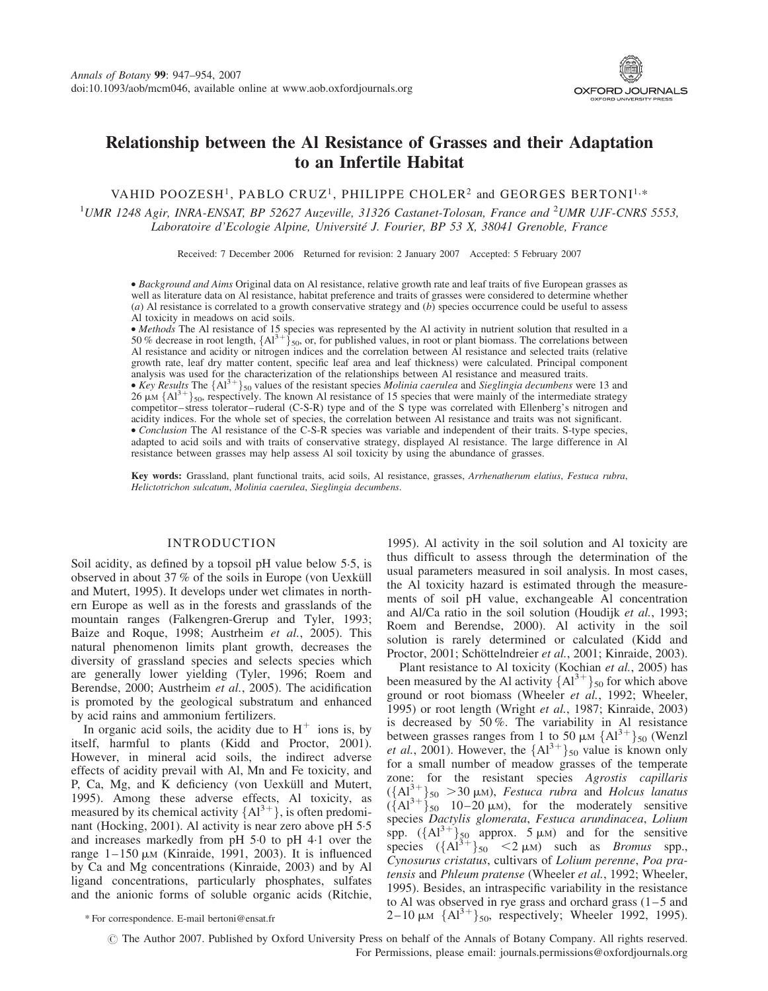

# Relationship between the Al Resistance of Grasses and their Adaptation to an Infertile Habitat

VAHID POOZESH<sup>1</sup>, PABLO CRUZ<sup>1</sup>, PHILIPPE CHOLER<sup>2</sup> and GEORGES BERTONI<sup>1,\*</sup>

<sup>1</sup>UMR 1248 Agir, INRA-ENSAT, BP 52627 Auzeville, 31326 Castanet-Tolosan, France and <sup>2</sup>UMR UJF-CNRS 5553, Laboratoire d'Ecologie Alpine, Université J. Fourier, BP 53 X, 38041 Grenoble, France

Received: 7 December 2006 Returned for revision: 2 January 2007 Accepted: 5 February 2007

† Background and Aims Original data on Al resistance, relative growth rate and leaf traits of five European grasses as well as literature data on Al resistance, habitat preference and traits of grasses were considered to determine whether (a) Al resistance is correlated to a growth conservative strategy and  $(b)$  species occurrence could be useful to assess Al toxicity in meadows on acid soils.

• *Methods* The Al resistance of 15 species was represented by the Al activity in nutrient solution that resulted in a 50 % decrease in root length,  $\{Al^{3+}\}_{50}$ , or, for published values, in root or plant biomass. The c Al resistance and acidity or nitrogen indices and the correlation between Al resistance and selected traits (relative growth rate, leaf dry matter content, specific leaf area and leaf thickness) were calculated. Principal component analysis was used for the characterization of the relationships between Al resistance and measured traits.

• Key Results The  ${A1}^{3+}$ <sub>50</sub> values of the resistant species Molinia caerulea and Sieglingia decumbens were 13 and 26  $\mu$ M {Al<sup>3+</sup>}<sub>50</sub>, respectively. The known Al resistance of 15 species that were mainly of the intermediate strategy competitor–stress tolerator–ruderal (C-S-R) type and of the S type was correlated with Ellenberg's nitrogen and acidity indices. For the whole set of species, the correlation between Al resistance and traits was not significant. †Conclusion The Al resistance of the C-S-R species was variable and independent of their traits. S-type species, adapted to acid soils and with traits of conservative strategy, displayed Al resistance. The large difference in Al resistance between grasses may help assess Al soil toxicity by using the abundance of grasses.

Key words: Grassland, plant functional traits, acid soils, Al resistance, grasses, Arrhenatherum elatius, Festuca rubra, Helictotrichon sulcatum, Molinia caerulea, Sieglingia decumbens.

# INTRODUCTION

Soil acidity, as defined by a topsoil pH value below 5.5, is observed in about 37 % of the soils in Europe (von Uexküll and Mutert, 1995). It develops under wet climates in northern Europe as well as in the forests and grasslands of the mountain ranges (Falkengren-Grerup and Tyler, 1993; Baize and Roque, 1998; Austrheim et al., 2005). This natural phenomenon limits plant growth, decreases the diversity of grassland species and selects species which are generally lower yielding (Tyler, 1996; Roem and Berendse, 2000; Austrheim et al., 2005). The acidification is promoted by the geological substratum and enhanced by acid rains and ammonium fertilizers.

In organic acid soils, the acidity due to  $H^+$  ions is, by itself, harmful to plants (Kidd and Proctor, 2001). However, in mineral acid soils, the indirect adverse effects of acidity prevail with Al, Mn and Fe toxicity, and P, Ca, Mg, and K deficiency (von Uexküll and Mutert, 1995). Among these adverse effects, Al toxicity, as measured by its chemical activity  ${Al}^{3+}$ , is often predominant (Hocking, 2001). Al activity is near zero above pH 5.5 and increases markedly from pH 5.0 to pH 4.1 over the range  $1-150 \mu M$  (Kinraide, 1991, 2003). It is influenced by Ca and Mg concentrations (Kinraide, 2003) and by Al ligand concentrations, particularly phosphates, sulfates and the anionic forms of soluble organic acids (Ritchie,

1995). Al activity in the soil solution and Al toxicity are thus difficult to assess through the determination of the usual parameters measured in soil analysis. In most cases, the Al toxicity hazard is estimated through the measurements of soil pH value, exchangeable Al concentration and Al/Ca ratio in the soil solution (Houdijk et al., 1993; Roem and Berendse, 2000). Al activity in the soil solution is rarely determined or calculated (Kidd and Proctor, 2001; Schöttelndreier et al., 2001; Kinraide, 2003).

Plant resistance to Al toxicity (Kochian et al., 2005) has been measured by the Al activity  ${A1}^{3+}{}_{50}$  for which above ground or root biomass (Wheeler et al., 1992; Wheeler, 1995) or root length (Wright et al., 1987; Kinraide, 2003) is decreased by 50 %. The variability in Al resistance between grasses ranges from 1 to 50  $\mu$ M {Al<sup>3+</sup>}<sub>50</sub> (Wenzl et al., 2001). However, the  ${A1}^{3+}$ <sub>50</sub> value is known only for a small number of meadow grasses of the temperate zone: for the resistant species Agrostis capillaris  $({A_1^3}^+)_5$ <sub>0</sub> > 30 µm), Festuca rubra and Holcus lanatus  $(\overline{A}A^{3+})_{50}$  10-20  $\mu$ M), for the moderately sensitive species Dactylis glomerata, Festuca arundinacea, Lolium spp.  $({A1}^{3+})_{50}$  approx. 5  $\mu$ M) and for the sensitive species  $({A1}^{3+})_{50}$  < 2  $\mu$ M) such as *Bromus* spp., Cynosurus cristatus, cultivars of Lolium perenne, Poa pratensis and Phleum pratense (Wheeler et al., 1992; Wheeler, 1995). Besides, an intraspecific variability in the resistance to Al was observed in rye grass and orchard grass  $(1-5$  and \* For correspondence. E-mail bertoni@ensat.fr  $2-10 \mu M \{Al^{3+}\}_{50}$ , respectively; Wheeler 1992, 1995).

© The Author 2007. Published by Oxford University Press on behalf of the Annals of Botany Company. All rights reserved. For Permissions, please email: journals.permissions@oxfordjournals.org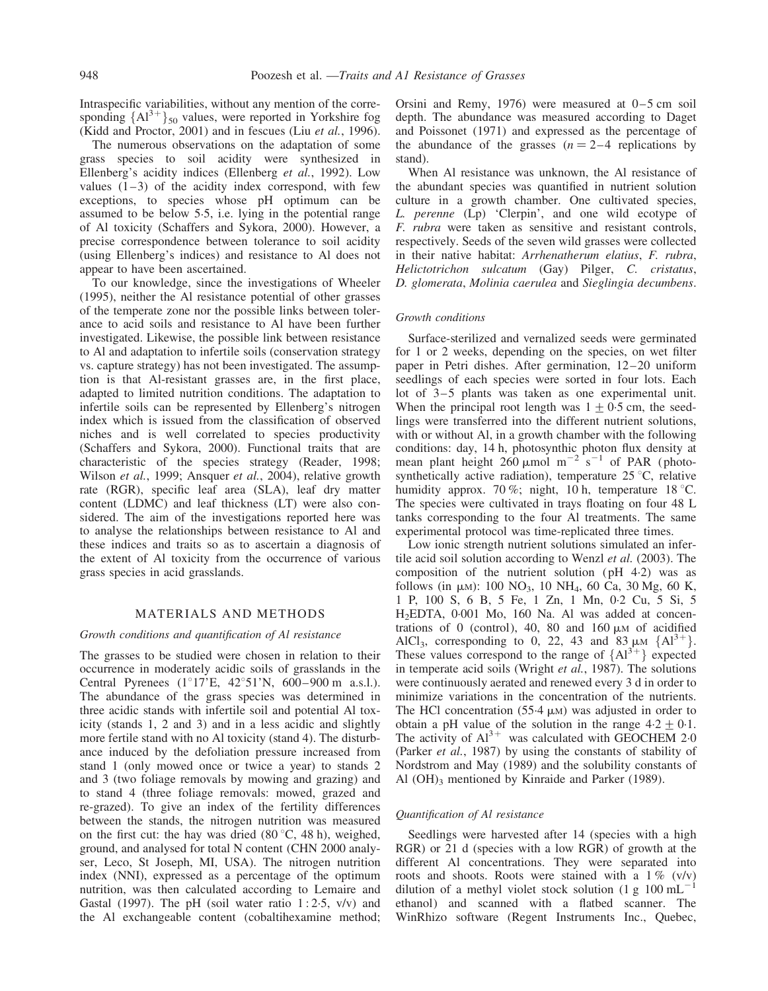Intraspecific variabilities, without any mention of the corresponding  ${A1}^{3+}$ <sub>50</sub> values, were reported in Yorkshire fog (Kidd and Proctor, 2001) and in fescues (Liu et al., 1996).

The numerous observations on the adaptation of some grass species to soil acidity were synthesized in Ellenberg's acidity indices (Ellenberg et al., 1992). Low values  $(1-3)$  of the acidity index correspond, with few exceptions, to species whose pH optimum can be assumed to be below 5.5, i.e. lying in the potential range of Al toxicity (Schaffers and Sykora, 2000). However, a precise correspondence between tolerance to soil acidity (using Ellenberg's indices) and resistance to Al does not appear to have been ascertained.

To our knowledge, since the investigations of Wheeler (1995), neither the Al resistance potential of other grasses of the temperate zone nor the possible links between tolerance to acid soils and resistance to Al have been further investigated. Likewise, the possible link between resistance to Al and adaptation to infertile soils (conservation strategy vs. capture strategy) has not been investigated. The assumption is that Al-resistant grasses are, in the first place, adapted to limited nutrition conditions. The adaptation to infertile soils can be represented by Ellenberg's nitrogen index which is issued from the classification of observed niches and is well correlated to species productivity (Schaffers and Sykora, 2000). Functional traits that are characteristic of the species strategy (Reader, 1998; Wilson et al., 1999; Ansquer et al., 2004), relative growth rate (RGR), specific leaf area (SLA), leaf dry matter content (LDMC) and leaf thickness (LT) were also considered. The aim of the investigations reported here was to analyse the relationships between resistance to Al and these indices and traits so as to ascertain a diagnosis of the extent of Al toxicity from the occurrence of various grass species in acid grasslands.

# MATERIALS AND METHODS

## Growth conditions and quantification of Al resistance

The grasses to be studied were chosen in relation to their occurrence in moderately acidic soils of grasslands in the Central Pyrenees  $(1^{\circ}17'E, 42^{\circ}51'N, 600-900 m \text{ a.s.}!)$ . The abundance of the grass species was determined in three acidic stands with infertile soil and potential Al toxicity (stands 1, 2 and 3) and in a less acidic and slightly more fertile stand with no Al toxicity (stand 4). The disturbance induced by the defoliation pressure increased from stand 1 (only mowed once or twice a year) to stands 2 and 3 (two foliage removals by mowing and grazing) and to stand 4 (three foliage removals: mowed, grazed and re-grazed). To give an index of the fertility differences between the stands, the nitrogen nutrition was measured on the first cut: the hay was dried  $(80 \degree C, 48 \text{ h})$ , weighed, ground, and analysed for total N content (CHN 2000 analyser, Leco, St Joseph, MI, USA). The nitrogen nutrition index (NNI), expressed as a percentage of the optimum nutrition, was then calculated according to Lemaire and Gastal (1997). The pH (soil water ratio  $1:2.5$ , v/v) and the Al exchangeable content (cobaltihexamine method; Orsini and Remy, 1976) were measured at  $0-5$  cm soil depth. The abundance was measured according to Daget and Poissonet (1971) and expressed as the percentage of the abundance of the grasses  $(n = 2-4$  replications by stand).

When Al resistance was unknown, the Al resistance of the abundant species was quantified in nutrient solution culture in a growth chamber. One cultivated species, L. perenne (Lp) 'Clerpin', and one wild ecotype of F. rubra were taken as sensitive and resistant controls, respectively. Seeds of the seven wild grasses were collected in their native habitat: Arrhenatherum elatius, F. rubra, Helictotrichon sulcatum (Gay) Pilger, C. cristatus, D. glomerata, Molinia caerulea and Sieglingia decumbens.

## Growth conditions

Surface-sterilized and vernalized seeds were germinated for 1 or 2 weeks, depending on the species, on wet filter paper in Petri dishes. After germination, 12– 20 uniform seedlings of each species were sorted in four lots. Each lot of 3–5 plants was taken as one experimental unit. When the principal root length was  $1 + 0.5$  cm, the seedlings were transferred into the different nutrient solutions, with or without Al, in a growth chamber with the following conditions: day, 14 h, photosynthic photon flux density at mean plant height  $260 \mu$  mol m<sup>-2</sup> s<sup>-1</sup> of PAR (photosynthetically active radiation), temperature  $25^{\circ}$ C, relative humidity approx. 70%; night, 10 h, temperature 18 °C. The species were cultivated in trays floating on four 48 L tanks corresponding to the four Al treatments. The same experimental protocol was time-replicated three times.

Low ionic strength nutrient solutions simulated an infertile acid soil solution according to Wenzl et al. (2003). The composition of the nutrient solution  $(pH 4.2)$  was as follows (in  $\mu$ M): 100 NO<sub>3</sub>, 10 NH<sub>4</sub>, 60 Ca, 30 Mg, 60 K, 1 P, 100 S, 6 B, 5 Fe, 1 Zn, 1 Mn, 0.2 Cu, 5 Si, 5 H<sub>2</sub>EDTA, 0.001 Mo, 160 Na. Al was added at concentrations of 0 (control), 40, 80 and 160  $\mu$ M of acidified AlCl<sub>3</sub>, corresponding to 0, 22, 43 and 83  $\mu$ M  $\{Al^{3+}\}\$ . These values correspond to the range of  ${Al}^{3+}$  expected in temperate acid soils (Wright et al., 1987). The solutions were continuously aerated and renewed every 3 d in order to minimize variations in the concentration of the nutrients. The HCl concentration  $(55.4 \mu M)$  was adjusted in order to obtain a pH value of the solution in the range  $4.2 \pm 0.1$ . The activity of  $Al^{3+}$  was calculated with GEOCHEM 2.0 (Parker et al., 1987) by using the constants of stability of Nordstrom and May (1989) and the solubility constants of Al  $(OH)$ <sub>3</sub> mentioned by Kinraide and Parker (1989).

# Quantification of Al resistance

Seedlings were harvested after 14 (species with a high RGR) or 21 d (species with a low RGR) of growth at the different Al concentrations. They were separated into roots and shoots. Roots were stained with a  $1\%$  (v/v) dilution of a methyl violet stock solution (1 g 100 mL<sup>-1</sup> ethanol) and scanned with a flatbed scanner. The WinRhizo software (Regent Instruments Inc., Quebec,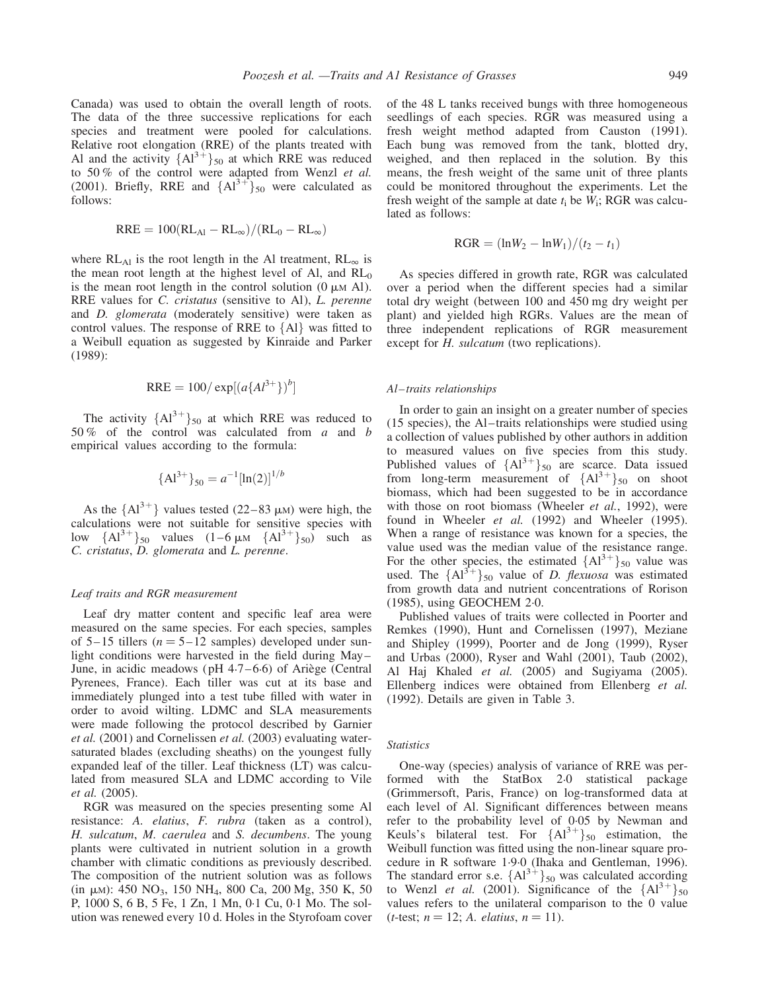Canada) was used to obtain the overall length of roots. The data of the three successive replications for each species and treatment were pooled for calculations. Relative root elongation (RRE) of the plants treated with Al and the activity  ${A1}^{3+}$ <sub>50</sub> at which RRE was reduced to 50 % of the control were adapted from Wenzl et al. (2001). Briefly, RRE and  ${Al}^{3+}$ <sub>50</sub> were calculated as follows:

$$
RRE = 100(RL_{\text{Al}} - RL_{\infty})/(RL_0 - RL_{\infty})
$$

where  $RL_{Al}$  is the root length in the Al treatment,  $RL_{\infty}$  is the mean root length at the highest level of Al, and  $RL_0$ is the mean root length in the control solution  $(0 \mu M A)$ . RRE values for C. cristatus (sensitive to Al), L. perenne and D. glomerata (moderately sensitive) were taken as control values. The response of RRE to  ${Al}$  was fitted to a Weibull equation as suggested by Kinraide and Parker (1989):

$$
RRE = 100/\exp[(a\{Al^{3+}\})^b]
$$

The activity  ${A1}^{3+}$ <sub>50</sub> at which RRE was reduced to 50 % of the control was calculated from a and b empirical values according to the formula:

$$
{\{Al^{3+}\}}_{50} = a^{-1}[\ln(2)]^{1/b}
$$

As the  ${Al}^{3+}$  values tested (22–83 µM) were high, the calculations were not suitable for sensitive species with low  ${A1}^{3+}$ <sub>50</sub> values  $(1 - 6 \mu M \{A1}^{3+}$ <sub>50</sub> such as C. cristatus, D. glomerata and L. perenne.

## Leaf traits and RGR measurement

Leaf dry matter content and specific leaf area were measured on the same species. For each species, samples of 5-15 tillers ( $n = 5-12$  samples) developed under sunlight conditions were harvested in the field during May – June, in acidic meadows ( $pH$  4.7–6.6) of Ariège (Central Pyrenees, France). Each tiller was cut at its base and immediately plunged into a test tube filled with water in order to avoid wilting. LDMC and SLA measurements were made following the protocol described by Garnier et al. (2001) and Cornelissen et al. (2003) evaluating watersaturated blades (excluding sheaths) on the youngest fully expanded leaf of the tiller. Leaf thickness (LT) was calculated from measured SLA and LDMC according to Vile et al. (2005).

RGR was measured on the species presenting some Al resistance: A. elatius, F. rubra (taken as a control), H. sulcatum, M. caerulea and S. decumbens. The young plants were cultivated in nutrient solution in a growth chamber with climatic conditions as previously described. The composition of the nutrient solution was as follows (in  $\mu$ M): 450 NO<sub>3</sub>, 150 NH<sub>4</sub>, 800 Ca, 200 Mg, 350 K, 50 P, 1000 S, 6 B, 5 Fe, 1 Zn, 1 Mn, 0.1 Cu, 0.1 Mo. The solution was renewed every 10 d. Holes in the Styrofoam cover of the 48 L tanks received bungs with three homogeneous seedlings of each species. RGR was measured using a fresh weight method adapted from Causton (1991). Each bung was removed from the tank, blotted dry, weighed, and then replaced in the solution. By this means, the fresh weight of the same unit of three plants could be monitored throughout the experiments. Let the fresh weight of the sample at date  $t_i$  be  $W_i$ ; RGR was calculated as follows:

$$
RGR = (\ln W_2 - \ln W_1)/(t_2 - t_1)
$$

As species differed in growth rate, RGR was calculated over a period when the different species had a similar total dry weight (between 100 and 450 mg dry weight per plant) and yielded high RGRs. Values are the mean of three independent replications of RGR measurement except for *H. sulcatum* (two replications).

## Al–traits relationships

In order to gain an insight on a greater number of species (15 species), the Al –traits relationships were studied using a collection of values published by other authors in addition to measured values on five species from this study. Published values of  ${A1}^{3+}{}_{50}$  are scarce. Data issued from long-term measurement of  ${A1}^{3+}$ <sub>50</sub> on shoot biomass, which had been suggested to be in accordance with those on root biomass (Wheeler et al., 1992), were found in Wheeler et al. (1992) and Wheeler (1995). When a range of resistance was known for a species, the value used was the median value of the resistance range. For the other species, the estimated  ${A1<sup>3+</sup>}_{50}$  value was used. The  ${A1}^{3+}$ <sub>50</sub> value of *D. flexuosa* was estimated from growth data and nutrient concentrations of Rorison (1985), using GEOCHEM 2.0.

Published values of traits were collected in Poorter and Remkes (1990), Hunt and Cornelissen (1997), Meziane and Shipley (1999), Poorter and de Jong (1999), Ryser and Urbas (2000), Ryser and Wahl (2001), Taub (2002), Al Haj Khaled et al. (2005) and Sugiyama (2005). Ellenberg indices were obtained from Ellenberg et al. (1992). Details are given in Table 3.

## **Statistics**

One-way (species) analysis of variance of RRE was performed with the StatBox 2.0 statistical package (Grimmersoft, Paris, France) on log-transformed data at each level of Al. Significant differences between means refer to the probability level of 0.05 by Newman and Keuls's bilateral test. For  ${A1}^{3+}$ <sub>50</sub> estimation, the Weibull function was fitted using the non-linear square procedure in R software 1.9.0 (Ihaka and Gentleman, 1996). The standard error s.e.  ${A1}^{3+}$ <sub>50</sub> was calculated according to Wenzl *et al.* (2001). Significance of the  ${Al}^{3+}$ <sub>50</sub> values refers to the unilateral comparison to the 0 value (*t*-test;  $n = 12$ ; A. *elatius*,  $n = 11$ ).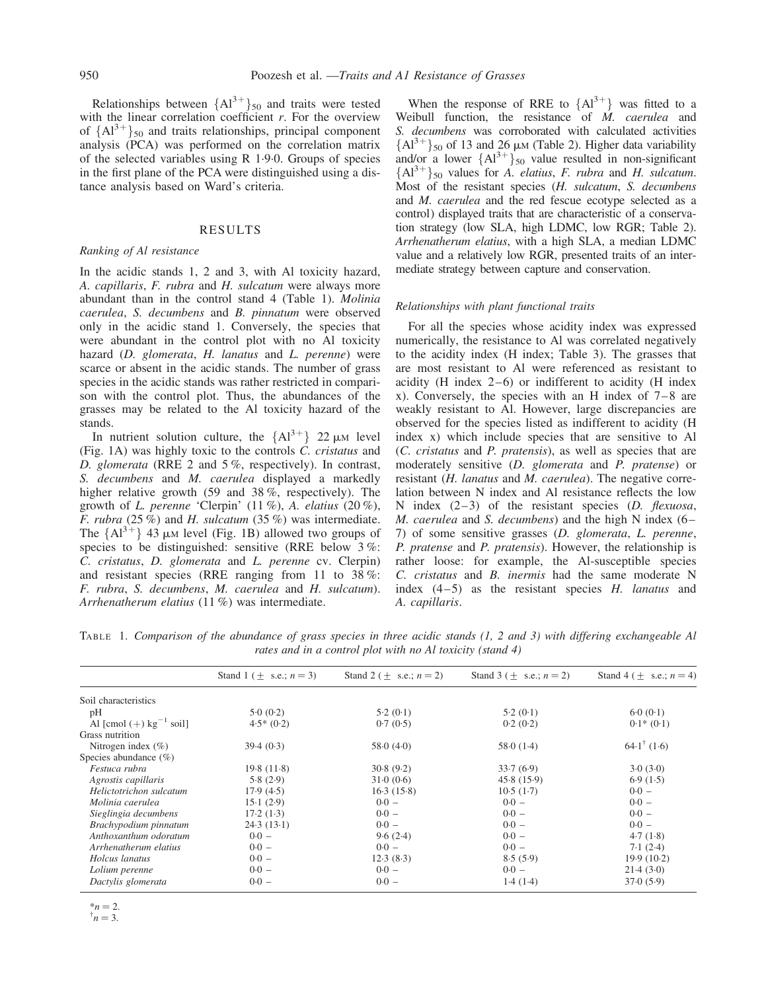Relationships between  ${A1<sup>3+</sup>}_{50}$  and traits were tested with the linear correlation coefficient  $r$ . For the overview of  ${A1}^{3+}$ <sub>50</sub> and traits relationships, principal component analysis (PCA) was performed on the correlation matrix of the selected variables using R 1.9.0. Groups of species in the first plane of the PCA were distinguished using a distance analysis based on Ward's criteria.

## RESULTS

# Ranking of Al resistance

In the acidic stands 1, 2 and 3, with Al toxicity hazard, A. capillaris, F. rubra and H. sulcatum were always more abundant than in the control stand 4 (Table 1). Molinia caerulea, S. decumbens and B. pinnatum were observed only in the acidic stand 1. Conversely, the species that were abundant in the control plot with no Al toxicity hazard (D. glomerata, H. lanatus and L. perenne) were scarce or absent in the acidic stands. The number of grass species in the acidic stands was rather restricted in comparison with the control plot. Thus, the abundances of the grasses may be related to the Al toxicity hazard of the stands.

In nutrient solution culture, the  ${Al}^{3+}$  22  $\mu$ M level (Fig. 1A) was highly toxic to the controls C. cristatus and D. glomerata (RRE 2 and 5 %, respectively). In contrast, S. decumbens and M. caerulea displayed a markedly higher relative growth (59 and 38%, respectively). The growth of L. perenne 'Clerpin' (11 %), A. elatius (20 %), F. rubra  $(25\%)$  and H. sulcatum  $(35\%)$  was intermediate. The  ${A1}^{3+}$  43 µM level (Fig. 1B) allowed two groups of species to be distinguished: sensitive (RRE below 3 %: C. cristatus, D. glomerata and L. perenne cv. Clerpin) and resistant species (RRE ranging from 11 to 38 %: F. rubra, S. decumbens, M. caerulea and H. sulcatum). Arrhenatherum elatius (11 %) was intermediate.

When the response of RRE to  ${Al}^{3+}$  was fitted to a Weibull function, the resistance of  $\dot{M}$ , caerulea and S. decumbens was corroborated with calculated activities  ${A1<sup>3+</sup>}_{50}$  of 13 and 26  $\mu$ M (Table 2). Higher data variability and/or a lower  ${A1}^{3+}$ <sub>50</sub> value resulted in non-significant  ${A1}^{3+}$ <sub>50</sub> values for A. elatius, F. rubra and H. sulcatum. Most of the resistant species (H. sulcatum, S. decumbens and M. caerulea and the red fescue ecotype selected as a control) displayed traits that are characteristic of a conservation strategy (low SLA, high LDMC, low RGR; Table 2). Arrhenatherum elatius, with a high SLA, a median LDMC value and a relatively low RGR, presented traits of an intermediate strategy between capture and conservation.

## Relationships with plant functional traits

For all the species whose acidity index was expressed numerically, the resistance to Al was correlated negatively to the acidity index (H index; Table 3). The grasses that are most resistant to Al were referenced as resistant to acidity (H index  $2-6$ ) or indifferent to acidity (H index x). Conversely, the species with an H index of  $7-8$  are weakly resistant to Al. However, large discrepancies are observed for the species listed as indifferent to acidity (H index x) which include species that are sensitive to Al (C. cristatus and P. pratensis), as well as species that are moderately sensitive (D. glomerata and P. pratense) or resistant (*H. lanatus* and *M. caerulea*). The negative correlation between N index and Al resistance reflects the low N index  $(2-3)$  of the resistant species  $(D.$  flexuosa, M. caerulea and S. decumbens) and the high N index (6– 7) of some sensitive grasses (D. glomerata, L. perenne, P. pratense and P. pratensis). However, the relationship is rather loose: for example, the Al-susceptible species C. cristatus and B. inermis had the same moderate N index  $(4-5)$  as the resistant species H. lanatus and A. capillaris.

TABLE 1. Comparison of the abundance of grass species in three acidic stands (1, 2 and 3) with differing exchangeable Al rates and in a control plot with no Al toxicity (stand 4)

|                                       | Stand 1 ( $\pm$ s.e.; $n = 3$ ) | Stand 2 ( $\pm$ s.e.; $n = 2$ ) | Stand 3 ( $\pm$ s.e.; $n = 2$ ) | Stand 4 ( $\pm$ s.e.; $n = 4$ ) |
|---------------------------------------|---------------------------------|---------------------------------|---------------------------------|---------------------------------|
| Soil characteristics                  |                                 |                                 |                                 |                                 |
| pH                                    | 5.0(0.2)                        | 5.2(0.1)                        | 5.2(0.1)                        | 6.0(0.1)                        |
| Al [cmol $(+)$ kg <sup>-1</sup> soil] | $4.5*(0.2)$                     | 0.7(0.5)                        | 0.2(0.2)                        | $0.1*(0.1)$                     |
| Grass nutrition                       |                                 |                                 |                                 |                                 |
| Nitrogen index $(\% )$                | 39.4(0.3)                       | 58.0(4.0)                       | 58.0(1.4)                       | $64.1^{\dagger}$ (1.6)          |
| Species abundance $(\%)$              |                                 |                                 |                                 |                                 |
| Festuca rubra                         | 19.8(11.8)                      | 30.8(9.2)                       | 33.7(6.9)                       | 3.0(3.0)                        |
| Agrostis capillaris                   | 5.8(2.9)                        | 31.0(0.6)                       | 45.8(15.9)                      | 6.9(1.5)                        |
| Helictotrichon sulcatum               | 17.9(4.5)                       | 16.3(15.8)                      | 10.5(1.7)                       | $0.0 -$                         |
| Molinia caerulea                      | 15.1(2.9)                       | $0.0 -$                         | $0.0 -$                         | $0.0 -$                         |
| Sieglingia decumbens                  | 17.2(1.3)                       | $0.0 -$                         | $0.0 -$                         | $0.0 -$                         |
| Brachypodium pinnatum                 | 24.3(13.1)                      | $0.0 -$                         | $0.0 -$                         | $0.0 -$                         |
| Anthoxanthum odoratum                 | $0.0 -$                         | 9.6(2.4)                        | $0.0 -$                         | 4.7(1.8)                        |
| Arrhenatherum elatius                 | $0.0 -$                         | $0.0 -$                         | $0.0 -$                         | 7.1(2.4)                        |
| Holcus lanatus                        | $0.0 -$                         | 12.3(8.3)                       | 8.5(5.9)                        | 19.9(10.2)                      |
| Lolium perenne                        | $0.0 -$                         | $0.0 -$                         | $0.0 -$                         | 21.4(3.0)                       |
| Dactylis glomerata                    | $0.0 -$                         | $0.0 -$                         | 1.4(1.4)                        | 37.0(5.9)                       |
|                                       |                                 |                                 |                                 |                                 |

 $*_{n} = 2.$ 

$$
n=3.
$$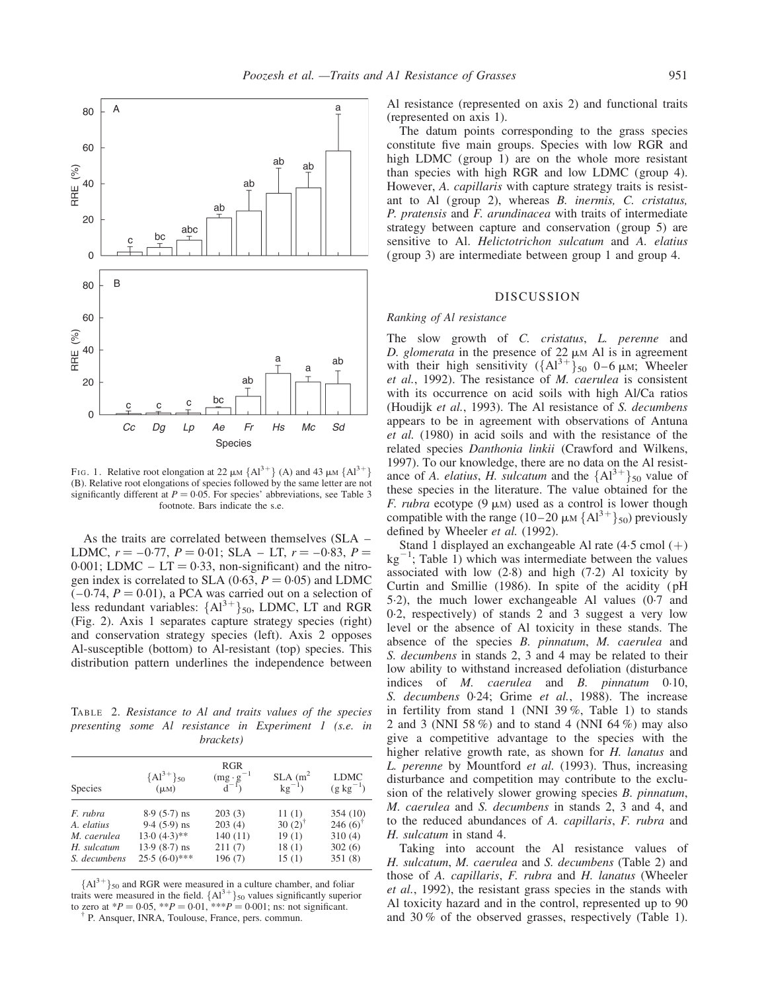

FIG. 1. Relative root elongation at 22  $\mu$ M {Al<sup>3+</sup>} (A) and 43  $\mu$ M {Al<sup>3+</sup>} (B). Relative root elongations of species followed by the same letter are not significantly different at  $P = 0.05$ . For species' abbreviations, see Table 3 footnote. Bars indicate the s.e.

As the traits are correlated between themselves (SLA – LDMC,  $r = -0.77$ ,  $P = 0.01$ ; SLA – LT,  $r = -0.83$ ,  $P =$  $0.001$ ; LDMC – LT = 0.33, non-significant) and the nitrogen index is correlated to SLA (0.63,  $P = 0.05$ ) and LDMC  $(-0.74, P = 0.01)$ , a PCA was carried out on a selection of less redundant variables:  $\{Al^{3+}\}_{50}$ , LDMC, LT and RGR (Fig. 2). Axis 1 separates capture strategy species (right) and conservation strategy species (left). Axis 2 opposes Al-susceptible (bottom) to Al-resistant (top) species. This distribution pattern underlines the independence between

TABLE 2. Resistance to Al and traits values of the species presenting some Al resistance in Experiment 1 (s.e. in brackets)

| Species                                                              | ${A1}^{3+}$ <sub>50</sub><br>$(\mu M)$                                               | <b>RGR</b><br>$\frac{\text{(mg} \cdot \text{g}^{-1})}{\text{d}^{-1}}$ | $\frac{\text{SLA (m}^2)}{\text{kg}^{-1}}$       | <b>LDMC</b><br>$(g \text{ kg}^{-1})$             |
|----------------------------------------------------------------------|--------------------------------------------------------------------------------------|-----------------------------------------------------------------------|-------------------------------------------------|--------------------------------------------------|
| F. rubra<br>A. elatius<br>M. caerulea<br>H. sulcatum<br>S. decumbens | $8.9(5.7)$ ns<br>$9.4(5.9)$ ns<br>$13.0(4.3)$ **<br>$13.9(8.7)$ ns<br>$25.5(6.0)***$ | 203(3)<br>203(4)<br>140(11)<br>211(7)<br>196(7)                       | 11(1)<br>$30(2)^{7}$<br>19(1)<br>18(1)<br>15(1) | 354 (10)<br>246(6)<br>310(4)<br>302(6)<br>351(8) |

 ${A1}^{3+}$ <sub>50</sub> and RGR were measured in a culture chamber, and foliar traits were measured in the field.  ${A1}^{3+}$ <sub>50</sub> values significantly superior to zero at \*P = 0.05, \*\*P = 0.01, \*\*\*P = 0.001; ns: not significant.<br><sup>†</sup> P. Ansquer, INRA, Toulouse, France, pers. commun.

Al resistance (represented on axis 2) and functional traits (represented on axis 1).

The datum points corresponding to the grass species constitute five main groups. Species with low RGR and high LDMC (group 1) are on the whole more resistant than species with high RGR and low LDMC (group 4). However, A. capillaris with capture strategy traits is resistant to Al (group 2), whereas B. inermis, C. cristatus, P. pratensis and F. arundinacea with traits of intermediate strategy between capture and conservation (group 5) are sensitive to Al. Helictotrichon sulcatum and A. elatius (group 3) are intermediate between group 1 and group 4.

## DISCUSSION

# Ranking of Al resistance

The slow growth of C. cristatus, L. perenne and D. glomerata in the presence of  $22 \mu M$  Al is in agreement with their high sensitivity  $({A1}^{3+})_{50}$  0–6  $\mu$ M; Wheeler et al., 1992). The resistance of M. caerulea is consistent with its occurrence on acid soils with high Al/Ca ratios (Houdijk et al., 1993). The Al resistance of S. decumbens appears to be in agreement with observations of Antuna et al. (1980) in acid soils and with the resistance of the related species Danthonia linkii (Crawford and Wilkens, 1997). To our knowledge, there are no data on the Al resistance of A. *elatius*, *H. sulcatum* and the  ${Al}^{3+}_{50}$  value of these species in the literature. The value obtained for the F. rubra ecotype  $(9 \mu)$  used as a control is lower though compatible with the range (10–20  $\mu$ M {Al<sup>3+</sup>}<sub>50</sub>) previously defined by Wheeler et al. (1992).

Stand 1 displayed an exchangeable Al rate  $(4.5 \text{ cmol } (+)$  $kg^{-1}$ ; Table 1) which was intermediate between the values associated with low  $(2.8)$  and high  $(7.2)$  Al toxicity by Curtin and Smillie (1986). In spite of the acidity ( pH 5.2), the much lower exchangeable Al values (0.7 and 0.2, respectively) of stands 2 and 3 suggest a very low level or the absence of Al toxicity in these stands. The absence of the species B. pinnatum, M. caerulea and S. decumbens in stands 2, 3 and 4 may be related to their low ability to withstand increased defoliation (disturbance indices of *M. caerulea* and *B. pinnatum* 0.10, S. decumbens 0.24; Grime et al., 1988). The increase in fertility from stand 1 (NNI 39 %, Table 1) to stands 2 and 3 (NNI 58 %) and to stand 4 (NNI 64 %) may also give a competitive advantage to the species with the higher relative growth rate, as shown for H. lanatus and L. perenne by Mountford et al. (1993). Thus, increasing disturbance and competition may contribute to the exclusion of the relatively slower growing species B. pinnatum, M. caerulea and S. decumbens in stands 2, 3 and 4, and to the reduced abundances of A. capillaris, F. rubra and H. sulcatum in stand 4.

Taking into account the Al resistance values of H. sulcatum, M. caerulea and S. decumbens (Table 2) and those of A. capillaris, F. rubra and H. lanatus (Wheeler et al., 1992), the resistant grass species in the stands with Al toxicity hazard and in the control, represented up to 90 and 30 % of the observed grasses, respectively (Table 1).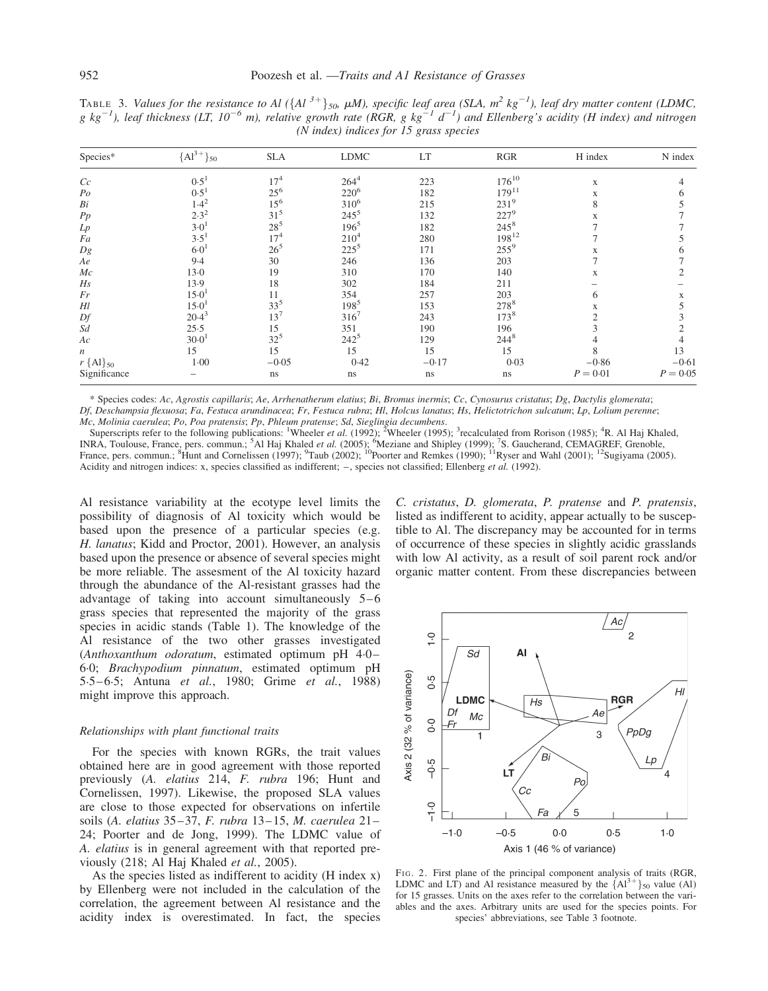TABLE 3. Values for the resistance to Al  $(\{Al^{3+}\}_{50}$ ,  $\mu M$ ), specific leaf area (SLA,  $m^2$  kg<sup>-1</sup>), leaf dry matter content (LDMC, g kg<sup>-1</sup>), leaf thickness (LT, 10<sup>-6</sup> m), relative growth rate (RGR, g kg<sup>-1</sup> d<sup>-1</sup>) and Ellenberg's acidity (H index) and nitrogen  $(N$  index) indices for 15 grass species

| Species*                | ${A1}^{3+}{}_{50}$    | <b>SLA</b>      | <b>LDMC</b> | LT      | RGR              | H index    | N index    |
|-------------------------|-----------------------|-----------------|-------------|---------|------------------|------------|------------|
| Cc                      | $0.5^1$               | $17^{4}$        | $264^{4}$   | 223     | $176^{10}$       | X          |            |
| $P_{O}$                 | 0.5                   | $25^{6}$        | $220^6$     | 182     | $179^{11}$       | X          |            |
| Bi                      | $1.4^2$               | $15^{6}$        | $310^{6}$   | 215     | $231^{9}$        | 8          |            |
| Pp                      | $2.3^{2}$             | $31^{5}$        | $245^5$     | 132     | $227^9$          | X          |            |
| Lp                      | $3-0$                 | $28^{5}$        | $196^5$     | 182     | $245^{8}$        |            |            |
| Fa                      | 3.5'                  | $17^{4}$        | $210^4$     | 280     | $198^{12}$       |            |            |
| Dg                      | 6·0                   | $26^{5}$        | $225^5$     | 171     | $255^9$          | X          | n.         |
| Ae                      | $9-4$                 | 30              | 246         | 136     | 203              |            |            |
| Mc                      | $13-0$                | 19              | 310         | 170     | 140              | X          |            |
| Hs                      | 13.9                  | 18              | 302         | 184     | 211              |            |            |
| Fr                      | 15.0                  | 11              | 354         | 257     | 203              | 6          | X          |
| Hl                      | 15.0                  | $33^{5}$        | $198^5$     | 153     | 2788             | X          |            |
| Df                      | $20.4^3$              | 13 <sup>7</sup> | $316^{7}$   | 243     | 173 <sup>8</sup> |            |            |
| Sd                      | 25.5                  | 15              | 351         | 190     | 196              |            |            |
| Aс                      | $30 - 0$ <sup>1</sup> | $32^{5}$        | $242^{5}$   | 129     | $244^{8}$        |            |            |
| $\boldsymbol{n}$        | 15                    | 15              | 15          | 15      | 15               |            | 13         |
| $r\$ {Al} <sub>50</sub> | $1-00$                | $-0.05$         | 0.42        | $-0.17$ | 0.03             | $-0.86$    | $-0.61$    |
| Significance            |                       | ns              | ns          | ns      | ns               | $P = 0.01$ | $P = 0.05$ |

\* Species codes: Ac, Agrostis capillaris; Ae, Arrhenatherum elatius; Bi, Bromus inermis; Cc, Cynosurus cristatus; Dg, Dactylis glomerata; Df, Deschampsia flexuosa; Fa, Festuca arundinacea; Fr, Festuca rubra; Hl, Holcus lanatus; Hs, Helictotrichon sulcatum; Lp, Lolium perenne; Mc, Molinia caerulea; Po, Poa pratensis; Pp, Phleum pratense; Sd, Sieglingia decumbens.

Superscripts refer to the following publications: <sup>1</sup>Wheeler *et al.* (1992); <sup>2</sup>Wheeler (1995); <sup>3</sup>recalculated from Rorison (1985); <sup>4</sup>R. Al Haj Khaled, INRA, Toulouse, France, pers. commun.; <sup>5</sup>Al Haj Khaled *et al.* (2005); <sup>6</sup>Meziane and Shipley (1999); <sup>7</sup>S. Gaucherand, CEMAGREF, Grenoble, France, pers. commun.; <sup>8</sup>Hunt and Cornelissen (1997); <sup>9</sup>Taub (2002); <sup>10</sup>Poort Acidity and nitrogen indices: x, species classified as indifferent;  $-$ , species not classified; Ellenberg et al. (1992).

Al resistance variability at the ecotype level limits the possibility of diagnosis of Al toxicity which would be based upon the presence of a particular species (e.g. H. lanatus; Kidd and Proctor, 2001). However, an analysis based upon the presence or absence of several species might be more reliable. The assesment of the Al toxicity hazard through the abundance of the Al-resistant grasses had the advantage of taking into account simultaneously  $5-6$ grass species that represented the majority of the grass species in acidic stands (Table 1). The knowledge of the Al resistance of the two other grasses investigated (Anthoxanthum odoratum, estimated optimum pH 4.0 – 6.0; Brachypodium pinnatum, estimated optimum pH 5.5–6.5; Antuna et al., 1980; Grime et al., 1988) might improve this approach.

# Relationships with plant functional traits

For the species with known RGRs, the trait values obtained here are in good agreement with those reported previously (A. elatius 214, F. rubra 196; Hunt and Cornelissen, 1997). Likewise, the proposed SLA values are close to those expected for observations on infertile soils (A. elatius 35–37, F. rubra 13–15, M. caerulea 21– 24; Poorter and de Jong, 1999). The LDMC value of A. elatius is in general agreement with that reported previously (218; Al Haj Khaled et al., 2005).

As the species listed as indifferent to acidity (H index x) by Ellenberg were not included in the calculation of the correlation, the agreement between Al resistance and the acidity index is overestimated. In fact, the species

C. cristatus, D. glomerata, P. pratense and P. pratensis, listed as indifferent to acidity, appear actually to be susceptible to Al. The discrepancy may be accounted for in terms of occurrence of these species in slightly acidic grasslands with low Al activity, as a result of soil parent rock and/or organic matter content. From these discrepancies between



FIG. 2. First plane of the principal component analysis of traits (RGR, LDMC and LT) and Al resistance measured by the  ${Al}^{3+}$ <sub>50</sub> value (Al) for 15 grasses. Units on the axes refer to the correlation between the variables and the axes. Arbitrary units are used for the species points. For species' abbreviations, see Table 3 footnote.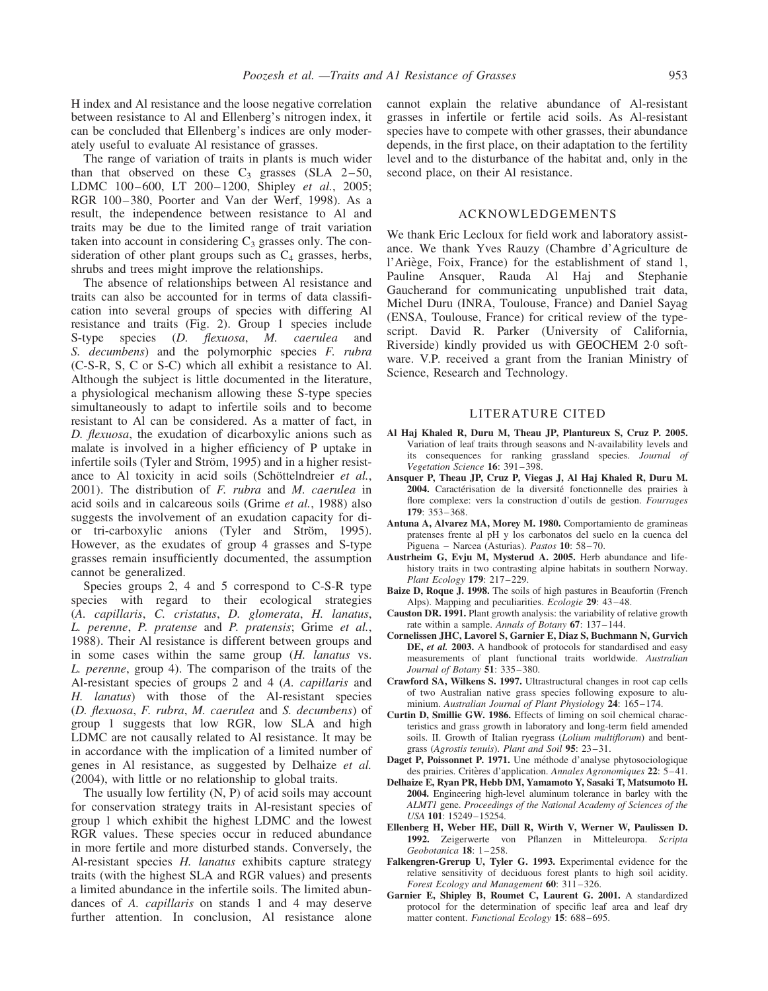H index and Al resistance and the loose negative correlation between resistance to Al and Ellenberg's nitrogen index, it can be concluded that Ellenberg's indices are only moderately useful to evaluate Al resistance of grasses.

The range of variation of traits in plants is much wider than that observed on these  $C_3$  grasses (SLA 2-50, LDMC 100-600, LT 200-1200, Shipley et al., 2005; RGR 100-380, Poorter and Van der Werf, 1998). As a result, the independence between resistance to Al and traits may be due to the limited range of trait variation taken into account in considering  $C_3$  grasses only. The consideration of other plant groups such as  $C_4$  grasses, herbs, shrubs and trees might improve the relationships.

The absence of relationships between Al resistance and traits can also be accounted for in terms of data classification into several groups of species with differing Al resistance and traits (Fig. 2). Group 1 species include S-type species (D. flexuosa, M. caerulea and S. decumbens) and the polymorphic species F. rubra (C-S-R, S, C or S-C) which all exhibit a resistance to Al. Although the subject is little documented in the literature, a physiological mechanism allowing these S-type species simultaneously to adapt to infertile soils and to become resistant to Al can be considered. As a matter of fact, in D. flexuosa, the exudation of dicarboxylic anions such as malate is involved in a higher efficiency of P uptake in infertile soils (Tyler and Ström, 1995) and in a higher resistance to Al toxicity in acid soils (Schöttelndreier et al., 2001). The distribution of F. rubra and M. caerulea in acid soils and in calcareous soils (Grime et al., 1988) also suggests the involvement of an exudation capacity for dior tri-carboxylic anions (Tyler and Ström, 1995). However, as the exudates of group 4 grasses and S-type grasses remain insufficiently documented, the assumption cannot be generalized.

Species groups 2, 4 and 5 correspond to C-S-R type species with regard to their ecological strategies (A. capillaris, C. cristatus, D. glomerata, H. lanatus, L. perenne, P. pratense and P. pratensis; Grime et al., 1988). Their Al resistance is different between groups and in some cases within the same group (H. lanatus vs. L. perenne, group 4). The comparison of the traits of the Al-resistant species of groups 2 and 4 (A. capillaris and H. lanatus) with those of the Al-resistant species (D. flexuosa, F. rubra, M. caerulea and S. decumbens) of group 1 suggests that low RGR, low SLA and high LDMC are not causally related to Al resistance. It may be in accordance with the implication of a limited number of genes in Al resistance, as suggested by Delhaize et al. (2004), with little or no relationship to global traits.

The usually low fertility (N, P) of acid soils may account for conservation strategy traits in Al-resistant species of group 1 which exhibit the highest LDMC and the lowest RGR values. These species occur in reduced abundance in more fertile and more disturbed stands. Conversely, the Al-resistant species H. lanatus exhibits capture strategy traits (with the highest SLA and RGR values) and presents a limited abundance in the infertile soils. The limited abundances of A. capillaris on stands 1 and 4 may deserve further attention. In conclusion, Al resistance alone

cannot explain the relative abundance of Al-resistant grasses in infertile or fertile acid soils. As Al-resistant species have to compete with other grasses, their abundance depends, in the first place, on their adaptation to the fertility level and to the disturbance of the habitat and, only in the second place, on their Al resistance.

# ACKNOWLEDGEMENTS

We thank Eric Lecloux for field work and laboratory assistance. We thank Yves Rauzy (Chambre d'Agriculture de l'Ariège, Foix, France) for the establishment of stand 1, Pauline Ansquer, Rauda Al Haj and Stephanie Gaucherand for communicating unpublished trait data, Michel Duru (INRA, Toulouse, France) and Daniel Sayag (ENSA, Toulouse, France) for critical review of the typescript. David R. Parker (University of California, Riverside) kindly provided us with GEOCHEM 2.0 software. V.P. received a grant from the Iranian Ministry of Science, Research and Technology.

## LITERATURE CITED

- Al Haj Khaled R, Duru M, Theau JP, Plantureux S, Cruz P. 2005. Variation of leaf traits through seasons and N-availability levels and its consequences for ranking grassland species. Journal of Vegetation Science 16: 391– 398.
- Ansquer P, Theau JP, Cruz P, Viegas J, Al Haj Khaled R, Duru M. 2004. Caractérisation de la diversité fonctionnelle des prairies à flore complexe: vers la construction d'outils de gestion. Fourrages 179: 353–368.
- Antuna A, Alvarez MA, Morey M. 1980. Comportamiento de gramineas pratenses frente al pH y los carbonatos del suelo en la cuenca del Piguena – Narcea (Asturias). Pastos 10: 58–70.
- Austrheim G, Evju M, Mysterud A. 2005. Herb abundance and lifehistory traits in two contrasting alpine habitats in southern Norway. Plant Ecology 179: 217-229.
- Baize D, Roque J. 1998. The soils of high pastures in Beaufortin (French Alps). Mapping and peculiarities. Ecologie 29: 43-48.
- Causton DR. 1991. Plant growth analysis: the variability of relative growth rate within a sample. Annals of Botany 67: 137– 144.
- Cornelissen JHC, Lavorel S, Garnier E, Diaz S, Buchmann N, Gurvich DE, et al. 2003. A handbook of protocols for standardised and easy measurements of plant functional traits worldwide. Australian Journal of Botany 51: 335-380.
- Crawford SA, Wilkens S. 1997. Ultrastructural changes in root cap cells of two Australian native grass species following exposure to aluminium. Australian Journal of Plant Physiology 24: 165–174.
- Curtin D, Smillie GW. 1986. Effects of liming on soil chemical characteristics and grass growth in laboratory and long-term field amended soils. II. Growth of Italian ryegrass (Lolium multiflorum) and bentgrass (Agrostis tenuis). Plant and Soil 95: 23-31.
- Daget P, Poissonnet P. 1971. Une méthode d'analyse phytosociologique des prairies. Critères d'application. Annales Agronomiques 22: 5-41.
- Delhaize E, Ryan PR, Hebb DM, Yamamoto Y, Sasaki T, Matsumoto H. 2004. Engineering high-level aluminum tolerance in barley with the ALMT1 gene. Proceedings of the National Academy of Sciences of the USA 101: 15249–15254.
- Ellenberg H, Weber HE, Düll R, Wirth V, Werner W, Paulissen D. 1992. Zeigerwerte von Pflanzen in Mitteleuropa. Scripta Geobotanica 18: 1– 258.
- Falkengren-Grerup U, Tyler G. 1993. Experimental evidence for the relative sensitivity of deciduous forest plants to high soil acidity. Forest Ecology and Management 60: 311-326.
- Garnier E, Shipley B, Roumet C, Laurent G. 2001. A standardized protocol for the determination of specific leaf area and leaf dry matter content. Functional Ecology 15: 688-695.